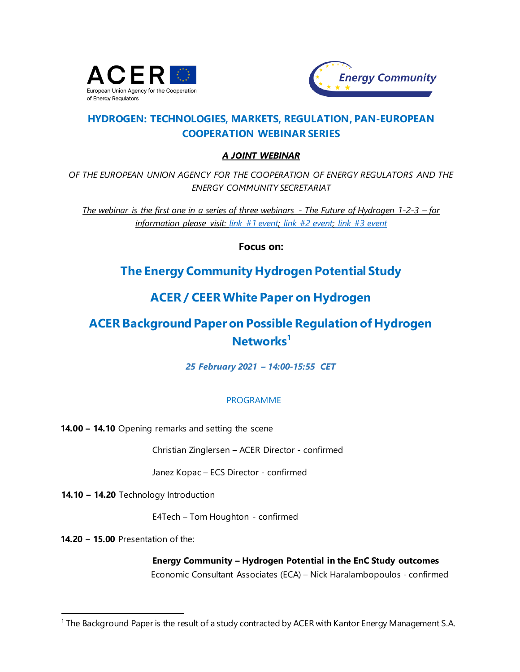



### **HYDROGEN: TECHNOLOGIES, MARKETS, REGULATION, PAN-EUROPEAN COOPERATION WEBINAR SERIES**

#### *A JOINT WEBINAR*

*OF THE EUROPEAN UNION AGENCY FOR THE COOPERATION OF ENERGY REGULATORS AND THE ENERGY COMMUNITY SECRETARIAT*

*The webinar is the first one in a series of three webinars - The Future of Hydrogen 1-2-3 – for information please visit: link [#1 event;](https://www.energy-community.org/events/2021/02/HYDROGEN_WEB1.html) link [#2 event;](https://www.energy-community.org/events/2021/03/HYDROGEN_WEB2.html) link [#3 event](https://www.energy-community.org/events/2021/03/HYDROGEN_WEB3.html)*

**Focus on:**

### **The Energy Community Hydrogen Potential Study**

## **ACER / CEER White Paper on Hydrogen**

# **ACER Background Paper on Possible Regulation of Hydrogen Networks<sup>1</sup>**

*25 February 2021 – 14:00-15:55 CET*

#### PROGRAMME

**14.00 – 14.10** Opening remarks and setting the scene

Christian Zinglersen – ACER Director - confirmed

Janez Kopac – ECS Director - confirmed

**14.10 – 14.20** Technology Introduction

E4Tech – Tom Houghton - confirmed

**14.20 – 15.00** Presentation of the:

l

**Energy Community – Hydrogen Potential in the EnC Study outcomes** Economic Consultant Associates (ECA) – Nick Haralambopoulos - confirmed

<sup>1</sup> The Background Paper is the result of a study contracted by ACER with Kantor Energy Management S.A.